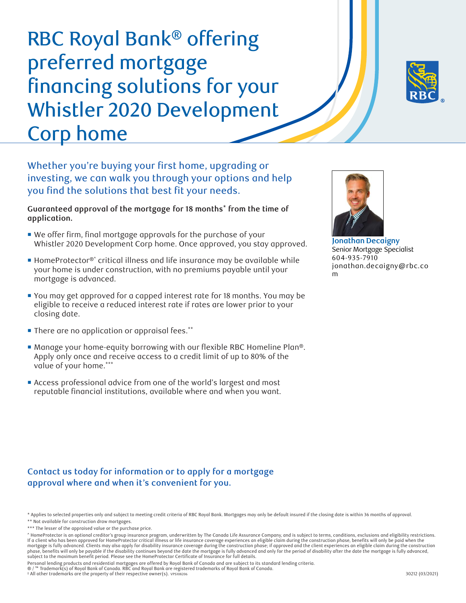RBC Royal Bank® offering preferred mortgage financing solutions for your Whistler 2020 Development Corp home



Whether you're buying your first home, upgrading or investing, we can walk you through your options and help you find the solutions that best fit your needs.

**Guaranteed approval of the mortgage for 18 months\* from the time of application.**

- We offer firm, final mortgage approvals for the purchase of your Whistler 2020 Development Corp home. Once approved, you stay approved.
- HomeProtector<sup>®</sup> critical illness and life insurance may be available while your home is under construction, with no premiums payable until your mortgage is advanced.
- You may get approved for a capped interest rate for 18 months. You may be eligible to receive a reduced interest rate if rates are lower prior to your closing date.
- There are no application or appraisal fees. \*\*
- Manage your home-equity borrowing with our flexible RBC Homeline Plan®. Apply only once and receive access to a credit limit of up to 80% of the value of your home. \*\*\*
- Access professional advice from one of the world's largest and most reputable financial institutions, available where and when you want.



**Jonathan Decaigny** Senior Mortgage Specialist 604-935-7910 jonathan.decaigny@rbc.co m

## **Contact us today for information or to apply for a mortgage approval where and when it's convenient for you.**

<sup>\*</sup> Applies to selected properties only and subject to meeting credit criteria of RBC Royal Bank. Mortgages may only be default insured if the closing date is within 36 months of approval. \*\* Not available for construction draw mortgages.

<sup>\*\*\*</sup> The lesser of the appraised value or the purchase price.

<sup>^</sup> HomeProtector is an optional creditor's group insurance program, underwritten by The Canada Life Assurance Company, and is subject to terms, conditions, exclusions and eligibility restrictions.<br>If a client who has been a mortgage is fully advanced. Clients may also apply for disability insurance coverage during the construction phase; if approved and the client experiences an eligible claim during the construction<br>phase, benefits will only

Personal lending products and residential mortgages are offered by Royal Bank of Canada and are subject to its standard lending criteria.

<sup>® / ™</sup> Trademark(s) of Royal Bank of Canada. RBC and Royal Bank are registered trademarks of Royal Bank of Canada.

<sup>‡</sup> All other trademarks are the property of their respective owner(s). VPS108206 30212 (03/2021)